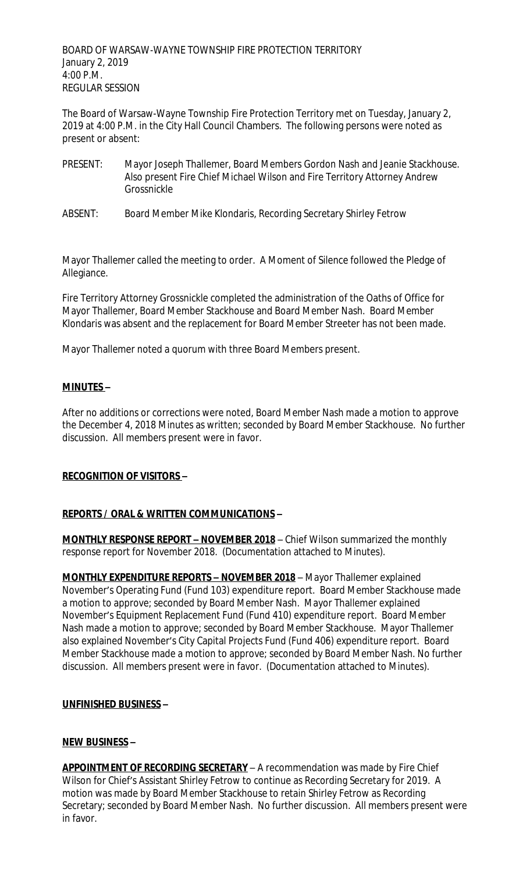BOARD OF WARSAW-WAYNE TOWNSHIP FIRE PROTECTION TERRITORY January 2, 2019 4:00 P.M. REGULAR SESSION

The Board of Warsaw-Wayne Township Fire Protection Territory met on Tuesday, January 2, 2019 at 4:00 P.M. in the City Hall Council Chambers. The following persons were noted as present or absent:

- PRESENT: Mayor Joseph Thallemer, Board Members Gordon Nash and Jeanie Stackhouse. Also present Fire Chief Michael Wilson and Fire Territory Attorney Andrew Grossnickle
- ABSENT: Board Member Mike Klondaris, Recording Secretary Shirley Fetrow

Mayor Thallemer called the meeting to order. A Moment of Silence followed the Pledge of Allegiance.

Fire Territory Attorney Grossnickle completed the administration of the Oaths of Office for Mayor Thallemer, Board Member Stackhouse and Board Member Nash. Board Member Klondaris was absent and the replacement for Board Member Streeter has not been made.

Mayor Thallemer noted a quorum with three Board Members present.

## **MINUTES –**

After no additions or corrections were noted, Board Member Nash made a motion to approve the December 4, 2018 Minutes as written; seconded by Board Member Stackhouse. No further discussion. All members present were in favor.

### **RECOGNITION OF VISITORS –**

### **REPORTS / ORAL & WRITTEN COMMUNICATIONS –**

**MONTHLY RESPONSE REPORT – NOVEMBER 2018** – Chief Wilson summarized the monthly response report for November 2018. (Documentation attached to Minutes).

**MONTHLY EXPENDITURE REPORTS – NOVEMBER 2018** – Mayor Thallemer explained November's Operating Fund (Fund 103) expenditure report. Board Member Stackhouse made a motion to approve; seconded by Board Member Nash. Mayor Thallemer explained November's Equipment Replacement Fund (Fund 410) expenditure report. Board Member Nash made a motion to approve; seconded by Board Member Stackhouse. Mayor Thallemer also explained November's City Capital Projects Fund (Fund 406) expenditure report. Board Member Stackhouse made a motion to approve; seconded by Board Member Nash. No further discussion. All members present were in favor. (Documentation attached to Minutes).

### **UNFINISHED BUSINESS –**

### **NEW BUSINESS –**

**APPOINTMENT OF RECORDING SECRETARY** – A recommendation was made by Fire Chief Wilson for Chief's Assistant Shirley Fetrow to continue as Recording Secretary for 2019. A motion was made by Board Member Stackhouse to retain Shirley Fetrow as Recording Secretary; seconded by Board Member Nash. No further discussion. All members present were in favor.